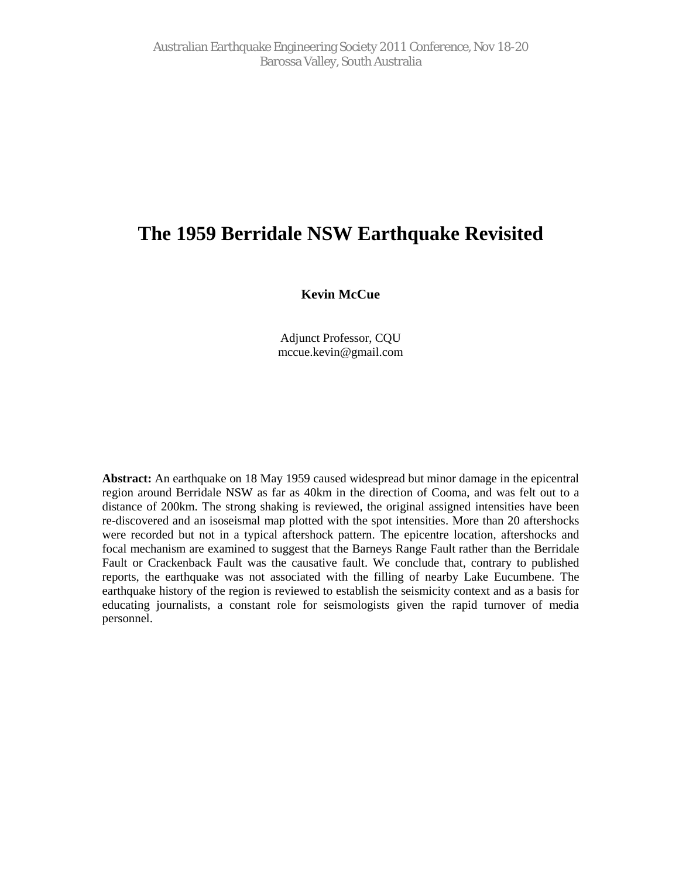# The 1959 BerridaleNSW Earthquake Revisited

Kevin McCue

Adjunct Professor, CQU mccu[e.kevin@gmail.co](mailto:kevin@gmail.com)m

Abstract: An earthquake on 8 May 1959 caused widespread but minor damage in the epicentral region around Berridale NS\&s far as 40kmin the direction of Cooma, and was feltout to a distance of 200km. The strong shaking is reviewed, the original and intensities have been re-discovered and raisoseismal map plotted ith the spot intensities. More than 20 aftershocks were recorded but in a typical aftershock patter the epicentre location aftershocks and focal mechanism arexamired to suggest that the Barneys Range Fault rather than Berridale Fault or Crackenback Faultwas the causative faultWe conclude that, contrary to published reports, the earthquake was not associated with the filling of nearby Lake Eucumbene. The earthquake history of the region is reviewed to established is entity context and as a basis for educating journalists, a constant role for seismologisten the rapid turnover of media personnel.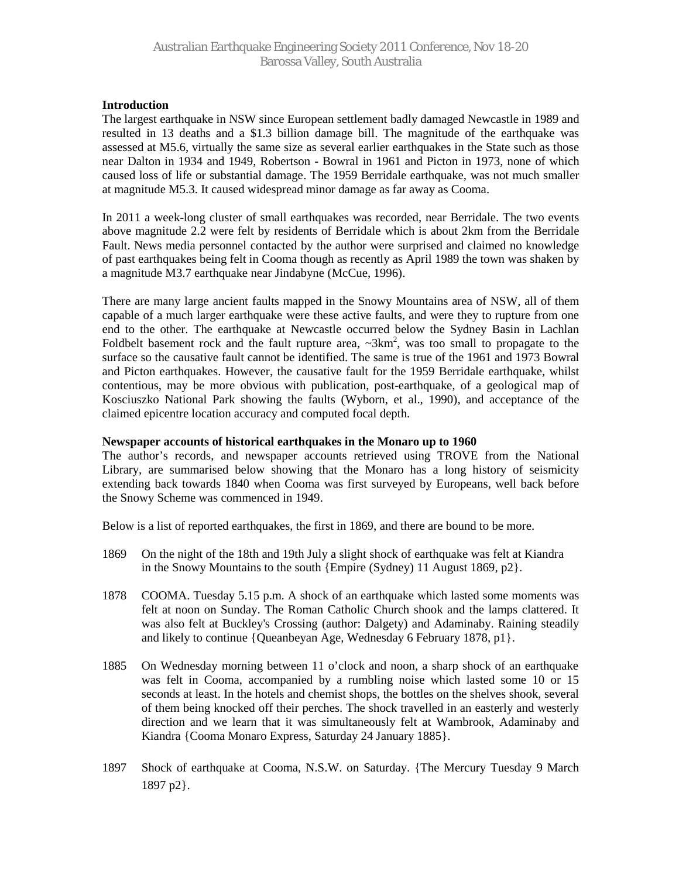# **Introduction**

The largest earthquake in NSW since European settlement badly damaged Newcastle in 1989 and resulted in 13 deaths and a \$1.3 billion damage bill. The magnitude of the earthquake was assessed at M5.6, virtually the same size as several earlier earthquakes in the State such as those near Dalton in 1934 and 1949, Robertson - Bowral in 1961 and Picton in 1973, none of which caused loss of life or substantial damage. The 1959 Berridale earthquake, was not much smaller at magnitude M5.3. It caused widespread minor damage as far away as Cooma.

In 2011 a week-long cluster of small earthquakes was recorded, near Berridale. The two events above magnitude 2.2 were felt by residents of Berridale which is about 2km from the Berridale Fault. News media personnel contacted by the author were surprised and claimed no knowledge of past earthquakes being felt in Cooma though as recently as April 1989 the town was shaken by a magnitude M3.7 earthquake near Jindabyne (McCue, 1996).

There are many large ancient faults mapped in the Snowy Mountains area of NSW, all of them capable of a much larger earthquake were these active faults, and were they to rupture from one end to the other. The earthquake at Newcastle occurred below the Sydney Basin in Lachlan Foldbelt basement rock and the fault rupture area,  $\sim 3 \text{km}^2$ , was too small to propagate to the surface so the causative fault cannot be identified. The same is true of the 1961 and 1973 Bowral and Picton earthquakes. However, the causative fault for the 1959 Berridale earthquake, whilst contentious, may be more obvious with publication, post-earthquake, of a geological map of Kosciuszko National Park showing the faults (Wyborn, et al., 1990), and acceptance of the claimed epicentre location accuracy and computed focal depth.

### **Newspaper accounts of historical earthquakes in the Monaro up to 1960**

The author's records, and newspaper accounts retrieved using TROVE from the National Library, are summarised below showing that the Monaro has a long history of seismicity extending back towards 1840 when Cooma was first surveyed by Europeans, well back before the Snowy Scheme was commenced in 1949.

Below is a list of reported earthquakes, the first in 1869, and there are bound to be more.

- 1869 On the night of the 18th and 19th July a slight shock of earthquake was felt at Kiandra in the Snowy Mountains to the south {Empire (Sydney) 11 August 1869, p2}.
- 1878 COOMA. Tuesday 5.15 p.m. A shock of an earthquake which lasted some moments was felt at noon on Sunday. The Roman Catholic Church shook and the lamps clattered. It was also felt at Buckley's Crossing (author: Dalgety) and Adaminaby. Raining steadily and likely to continue {Queanbeyan Age, Wednesday 6 February 1878, p1}.
- 1885 On Wednesday morning between 11 o'clock and noon, a sharp shock of an earthquake was felt in Cooma, accompanied by a rumbling noise which lasted some 10 or 15 seconds at least. In the hotels and chemist shops, the bottles on the shelves shook, several of them being knocked off their perches. The shock travelled in an easterly and westerly direction and we learn that it was simultaneously felt at Wambrook, Adaminaby and Kiandra {Cooma Monaro Express, Saturday 24 January 1885}.
- 1897 Shock of earthquake at Cooma, N.S.W. on Saturday. {The Mercury Tuesday 9 March 1897 p2}.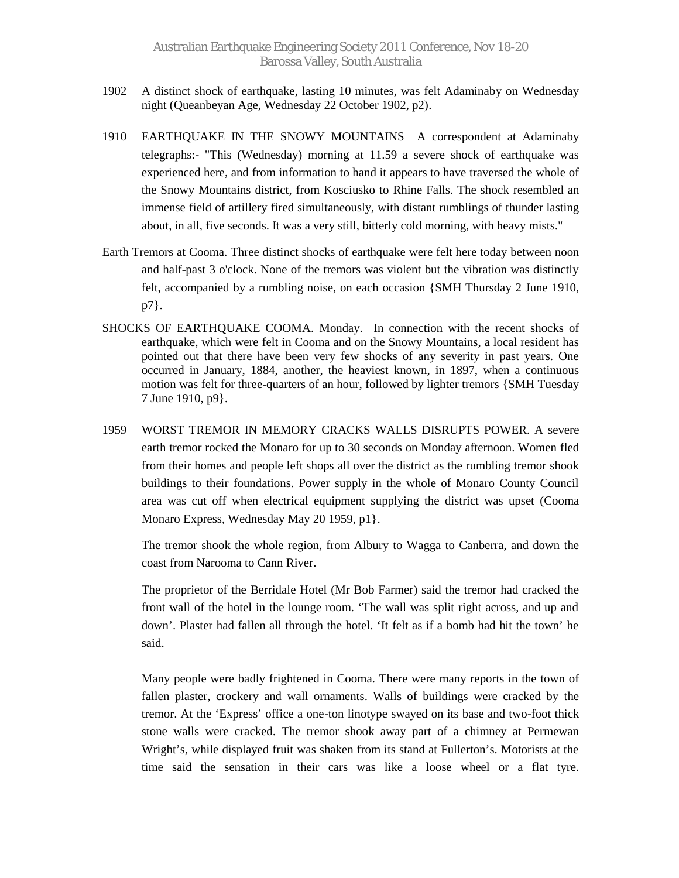- 1902 A distinct shock of earthquake, lasting 10 minutes, was felt Adaminaby on Wednesday night (Queanbeyan Age, Wednesday 22 October 1902, p2).
- 1910 EARTHQUAKE IN THE SNOWY MOUNTAINS A correspondent at Adaminaby telegraphs:- "This (Wednesday) morning at 11.59 a severe shock of earthquake was experienced here, and from information to hand it appears to have traversed the whole of the Snowy Mountains district, from Kosciusko to Rhine Falls. The shock resembled an immense field of artillery fired simultaneously, with distant rumblings of thunder lasting about, in all, five seconds. It was a very still, bitterly cold morning, with heavy mists."
- Earth Tremors at Cooma. Three distinct shocks of earthquake were felt here today between noon and half-past 3 o'clock. None of the tremors was violent but the vibration was distinctly felt, accompanied by a rumbling noise, on each occasion {SMH Thursday 2 June 1910, p7}.
- SHOCKS OF EARTHQUAKE COOMA. Monday. In connection with the recent shocks of earthquake, which were felt in Cooma and on the Snowy Mountains, a local resident has pointed out that there have been very few shocks of any severity in past years. One occurred in January, 1884, another, the heaviest known, in 1897, when a continuous motion was felt for three-quarters of an hour, followed by lighter tremors {SMH Tuesday 7 June 1910, p9}.
- 1959 WORST TREMOR IN MEMORY CRACKS WALLS DISRUPTS POWER. A severe earth tremor rocked the Monaro for up to 30 seconds on Monday afternoon. Women fled from their homes and people left shops all over the district as the rumbling tremor shook buildings to their foundations. Power supply in the whole of Monaro County Council area was cut off when electrical equipment supplying the district was upset (Cooma Monaro Express, Wednesday May 20 1959, p1}.

The tremor shook the whole region, from Albury to Wagga to Canberra, and down the coast from Narooma to Cann River.

The proprietor of the Berridale Hotel (Mr Bob Farmer) said the tremor had cracked the front wall of the hotel in the lounge room. 'The wall was split right across, and up and down'. Plaster had fallen all through the hotel. 'It felt as if a bomb had hit the town' he said.

Many people were badly frightened in Cooma. There were many reports in the town of fallen plaster, crockery and wall ornaments. Walls of buildings were cracked by the tremor. At the 'Express' office a one-ton linotype swayed on its base and two-foot thick stone walls were cracked. The tremor shook away part of a chimney at Permewan Wright's, while displayed fruit was shaken from its stand at Fullerton's. Motorists at the time said the sensation in their cars was like a loose wheel or a flat tyre.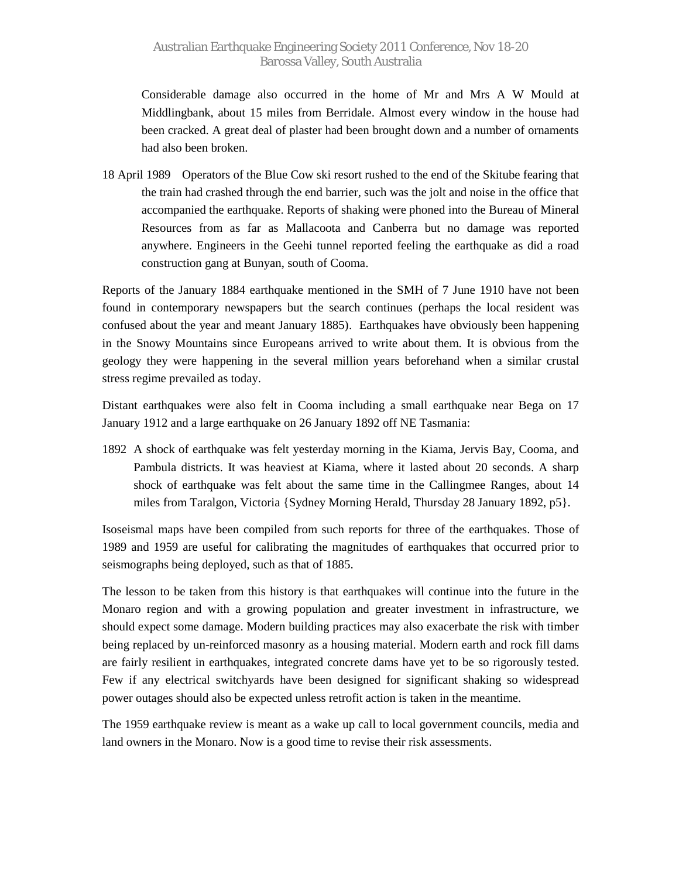Considerable damage also occurred in the home of Mr and Mrs A W Mould at Middlingbank, about 15 miles from Berridale. Almost every window in the house had been cracked. A great deal of plaster had been brought down and a number of ornaments had also been broken.

18 April 1989 Operators of the Blue Cow ski resort rushed to the end of the Skitube fearing that the train had crashed through the end barrier, such was the jolt and noise in the office that accompanied the earthquake. Reports of shaking were phoned into the Bureau of Mineral Resources from as far as Mallacoota and Canberra but no damage was reported anywhere. Engineers in the Geehi tunnel reported feeling the earthquake as did a road construction gang at Bunyan, south of Cooma.

Reports of the January 1884 earthquake mentioned in the SMH of 7 June 1910 have not been found in contemporary newspapers but the search continues (perhaps the local resident was confused about the year and meant January 1885). Earthquakes have obviously been happening in the Snowy Mountains since Europeans arrived to write about them. It is obvious from the geology they were happening in the several million years beforehand when a similar crustal stress regime prevailed as today.

Distant earthquakes were also felt in Cooma including a small earthquake near Bega on 17 January 1912 and a large earthquake on 26 January 1892 off NE Tasmania:

1892 A shock of earthquake was felt yesterday morning in the Kiama, Jervis Bay, Cooma, and Pambula districts. It was heaviest at Kiama, where it lasted about 20 seconds. A sharp shock of earthquake was felt about the same time in the Callingmee Ranges, about 14 miles from Taralgon, Victoria {Sydney Morning Herald, Thursday 28 January 1892, p5}.

Isoseismal maps have been compiled from such reports for three of the earthquakes. Those of 1989 and 1959 are useful for calibrating the magnitudes of earthquakes that occurred prior to seismographs being deployed, such as that of 1885.

The lesson to be taken from this history is that earthquakes will continue into the future in the Monaro region and with a growing population and greater investment in infrastructure, we should expect some damage. Modern building practices may also exacerbate the risk with timber being replaced by un-reinforced masonry as a housing material. Modern earth and rock fill dams are fairly resilient in earthquakes, integrated concrete dams have yet to be so rigorously tested. Few if any electrical switchyards have been designed for significant shaking so widespread power outages should also be expected unless retrofit action is taken in the meantime.

The 1959 earthquake review is meant as a wake up call to local government councils, media and land owners in the Monaro. Now is a good time to revise their risk assessments.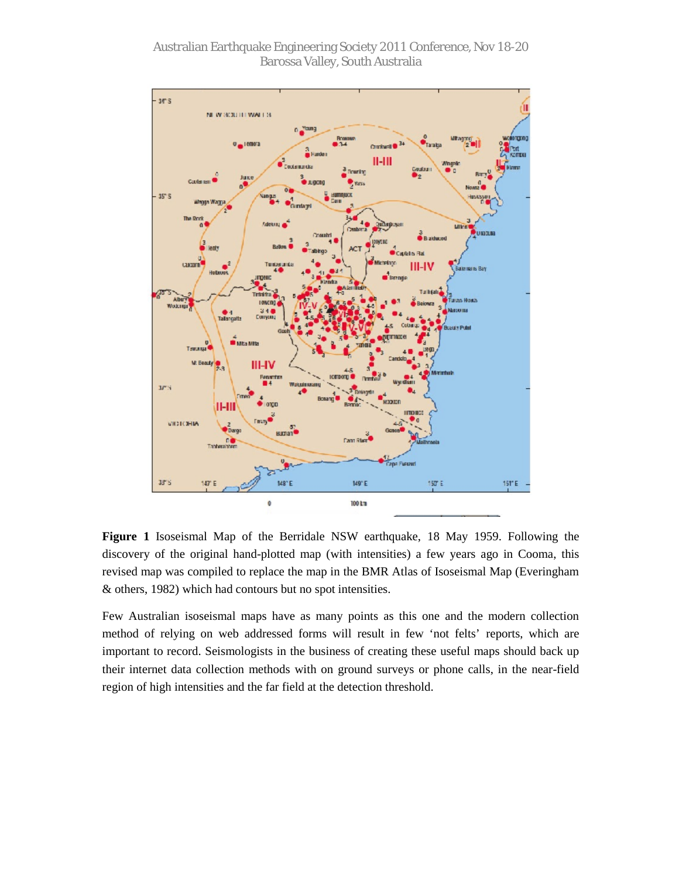Australian Earthquake Engineering Society 2011 Conference, Nov 18-20 Barossa Valley, South Australia



**Figure 1** Isoseismal Map of the Berridale NSW earthquake, 18 May 1959. Following the discovery of the original hand-plotted map (with intensities) a few years ago in Cooma, this revised map was compiled to replace the map in the BMR Atlas of Isoseismal Map (Everingham & others, 1982) which had contours but no spot intensities.

Few Australian isoseismal maps have as many points as this one and the modern collection method of relying on web addressed forms will result in few 'not felts' reports, which are important to record. Seismologists in the business of creating these useful maps should back up their internet data collection methods with on ground surveys or phone calls, in the near-field region of high intensities and the far field at the detection threshold.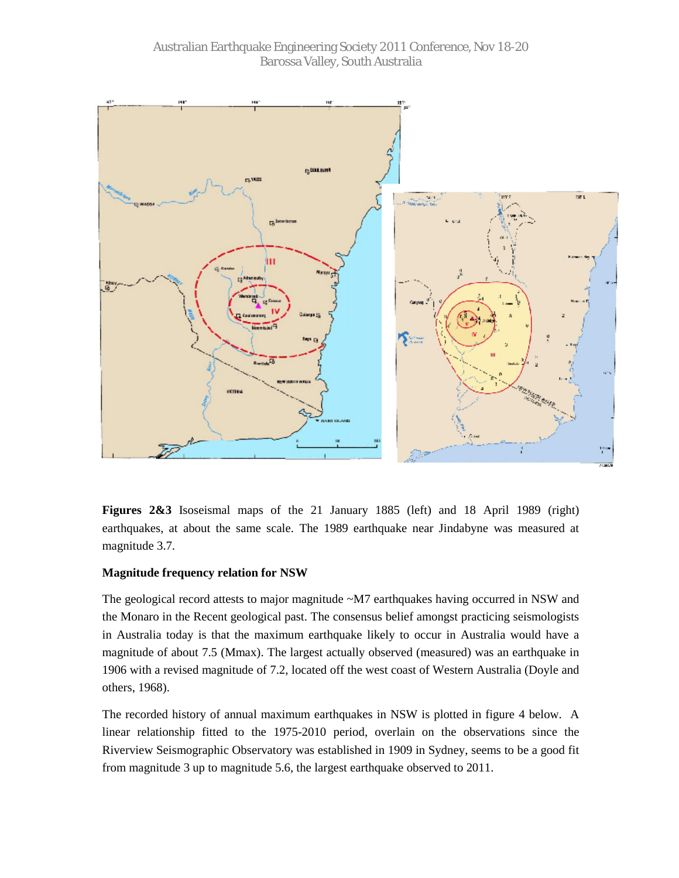

**Figures 2&3** Isoseismal maps of the 21 January 1885 (left) and 18 April 1989 (right) earthquakes, at about the same scale. The 1989 earthquake near Jindabyne was measured at magnitude 3.7.

# **Magnitude frequency relation for NSW**

The geological record attests to major magnitude ~M7 earthquakes having occurred in NSW and the Monaro in the Recent geological past. The consensus belief amongst practicing seismologists in Australia today is that the maximum earthquake likely to occur in Australia would have a magnitude of about 7.5 (Mmax). The largest actually observed (measured) was an earthquake in 1906 with a revised magnitude of 7.2, located off the west coast of Western Australia (Doyle and others, 1968).

The recorded history of annual maximum earthquakes in NSW is plotted in figure 4 below. A linear relationship fitted to the 1975-2010 period, overlain on the observations since the Riverview Seismographic Observatory was established in 1909 in Sydney, seems to be a good fit from magnitude 3 up to magnitude 5.6, the largest earthquake observed to 2011.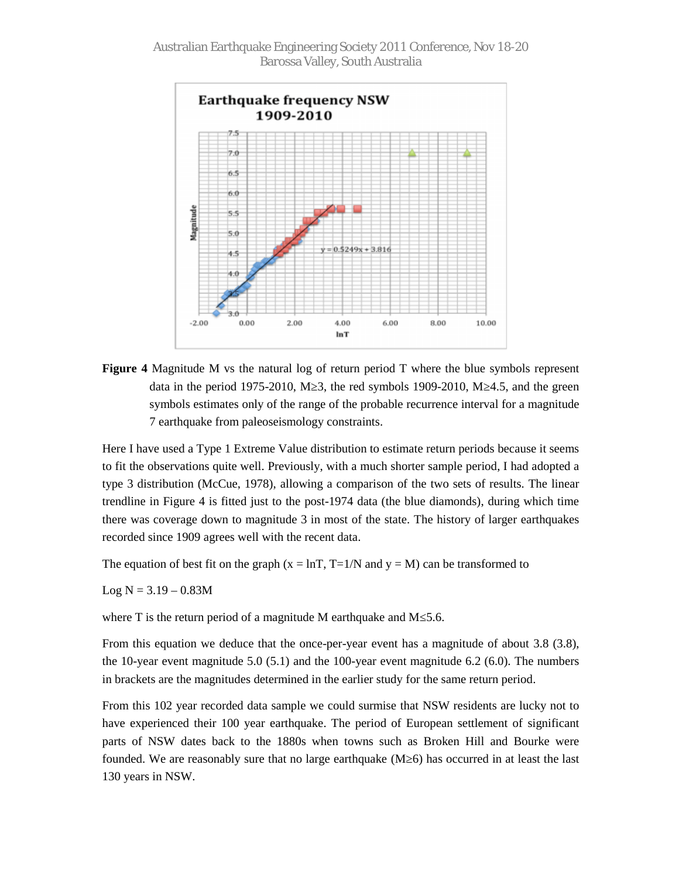

**Figure 4** Magnitude M vs the natural log of return period T where the blue symbols represent data in the period 1975-2010, M 3, the red symbols 1909-2010, M 4.5, and the green symbols estimates only of the range of the probable recurrence interval for a magnitude 7 earthquake from paleoseismology constraints.

Here I have used a Type 1 Extreme Value distribution to estimate return periods because it seems to fit the observations quite well. Previously, with a much shorter sample period, I had adopted a type 3 distribution (McCue, 1978), allowing a comparison of the two sets of results. The linear trendline in Figure 4 is fitted just to the post-1974 data (the blue diamonds), during which time there was coverage down to magnitude 3 in most of the state. The history of larger earthquakes recorded since 1909 agrees well with the recent data.

The equation of best fit on the graph  $(x = lnT, T=1/N$  and  $y = M$ ) can be transformed to

 $Log N = 3.19 - 0.83M$ 

where T is the return period of a magnitude M earthquake and M  $5.6$ .

From this equation we deduce that the once-per-year event has a magnitude of about 3.8 (3.8), the 10-year event magnitude 5.0  $(5.1)$  and the 100-year event magnitude 6.2  $(6.0)$ . The numbers in brackets are the magnitudes determined in the earlier study for the same return period.

From this 102 year recorded data sample we could surmise that NSW residents are lucky not to have experienced their 100 year earthquake. The period of European settlement of significant parts of NSW dates back to the 1880s when towns such as Broken Hill and Bourke were founded. We are reasonably sure that no large earthquake (M 6) has occurred in at least the last 130 years in NSW.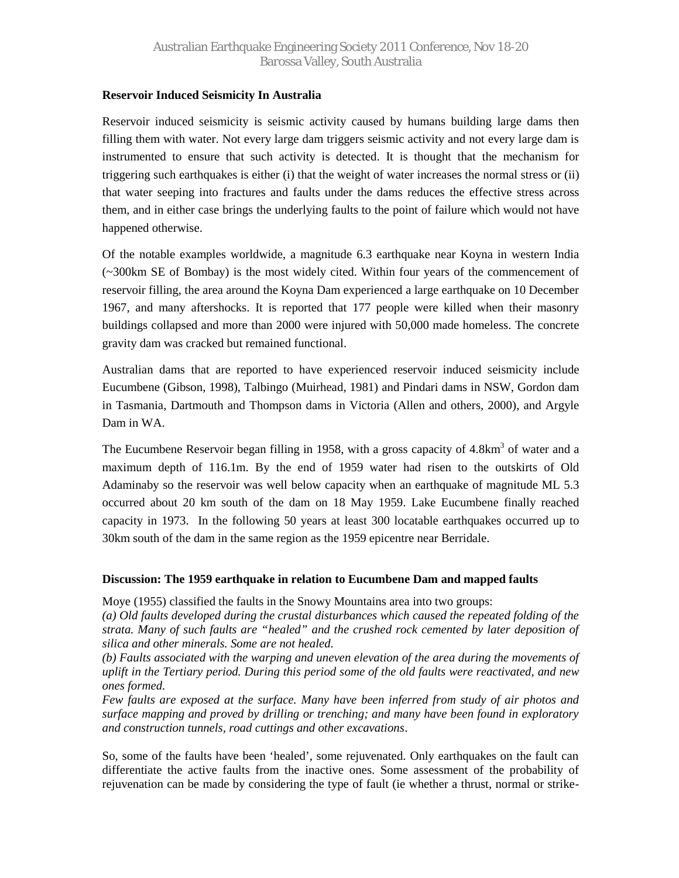# **Reservoir Induced Seismicity In Australia**

Reservoir induced seismicity is seismic activity caused by humans building large dams then filling them with water. Not every large dam triggers seismic activity and not every large dam is instrumented to ensure that such activity is detected. It is thought that the mechanism for triggering such earthquakes is either (i) that the weight of water increases the normal stress or (ii) that water seeping into fractures and faults under the dams reduces the effective stress across them, and in either case brings the underlying faults to the point of failure which would not have happened otherwise.

Of the notable examples worldwide, a magnitude 6.3 earthquake near Koyna in western India (~300km SE of Bombay) is the most widely cited. Within four years of the commencement of reservoir filling, the area around the Koyna Dam experienced a large earthquake on 10 December 1967, and many aftershocks. It is reported that 177 people were killed when their masonry buildings collapsed and more than 2000 were injured with 50,000 made homeless. The concrete gravity dam was cracked but remained functional.

Australian dams that are reported to have experienced reservoir induced seismicity include Eucumbene (Gibson, 1998), Talbingo (Muirhead, 1981) and Pindari dams in NSW, Gordon dam in Tasmania, Dartmouth and Thompson dams in Victoria (Allen and others, 2000), and Argyle Dam in WA.

The Eucumbene Reservoir began filling in 1958, with a gross capacity of 4.8km<sup>3</sup> of water and a maximum depth of 116.1m. By the end of 1959 water had risen to the outskirts of Old Adaminaby so the reservoir was well below capacity when an earthquake of magnitude ML 5.3 occurred about 20 km south of the dam on 18 May 1959. Lake Eucumbene finally reached capacity in 1973. In the following 50 years at least 300 locatable earthquakes occurred up to 30km south of the dam in the same region as the 1959 epicentre near Berridale.

# **Discussion: The 1959 earthquake in relation to Eucumbene Dam and mapped faults**

Moye (1955) classified the faults in the Snowy Mountains area into two groups:

*(a) Old faults developed during the crustal disturbances which caused the repeated folding of the strata. Many of such faults are "healed" and the crushed rock cemented by later deposition of silica and other minerals. Some are not healed.*

*(b) Faults associated with the warping and uneven elevation of the area during the movements of uplift in the Tertiary period. During this period some of the old faults were reactivated, and new ones formed.*

*Few faults are exposed at the surface. Many have been inferred from study of air photos and surface mapping and proved by drilling or trenching; and many have been found in exploratory and construction tunnels, road cuttings and other excavations*.

So, some of the faults have been 'healed', some rejuvenated. Only earthquakes on the fault can differentiate the active faults from the inactive ones. Some assessment of the probability of rejuvenation can be made by considering the type of fault (ie whether a thrust, normal or strike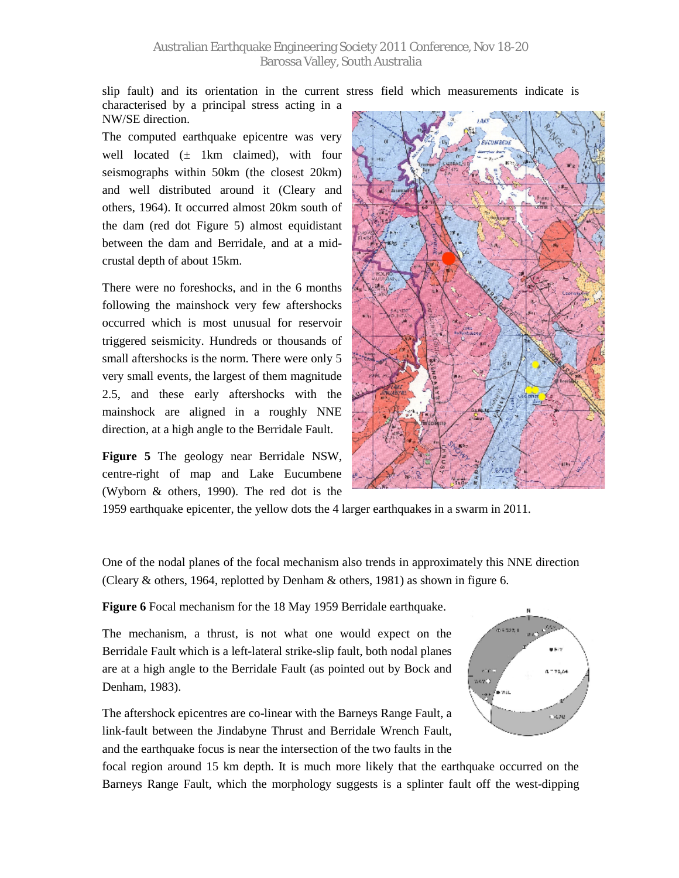slip fault) and its orientation in the current stress field which measurements indicate is characterised by a principal stress acting in a

NW/SE direction. The computed earthquake epicentre was very

well located  $(\pm$  1km claimed), with four seismographs within 50km (the closest 20km) and well distributed around it (Cleary and others, 1964). It occurred almost 20km south of the dam (red dot Figure 5) almost equidistant between the dam and Berridale, and at a midcrustal depth of about 15km.

There were no foreshocks, and in the 6 months following the mainshock very few aftershocks occurred which is most unusual for reservoir triggered seismicity. Hundreds or thousands of small aftershocks is the norm. There were only 5 very small events, the largest of them magnitude 2.5, and these early aftershocks with the mainshock are aligned in a roughly NNE direction, at a high angle to the Berridale Fault.

**Figure 5** The geology near Berridale NSW, centre-right of map and Lake Eucumbene (Wyborn & others, 1990). The red dot is the



1959 earthquake epicenter, the yellow dots the 4 larger earthquakes in a swarm in 2011.

One of the nodal planes of the focal mechanism also trends in approximately this NNE direction (Cleary & others, 1964, replotted by Denham & others, 1981) as shown in figure 6.

**Figure 6** Focal mechanism for the 18 May 1959 Berridale earthquake.

The mechanism, a thrust, is not what one would expect on the Berridale Fault which is a left-lateral strike-slip fault, both nodal planes are at a high angle to the Berridale Fault (as pointed out by Bock and Denham, 1983).

The aftershock epicentres are co-linear with the Barneys Range Fault, a link-fault between the Jindabyne Thrust and Berridale Wrench Fault, and the earthquake focus is near the intersection of the two faults in the



focal region around 15 km depth. It is much more likely that the earthquake occurred on the Barneys Range Fault, which the morphology suggests is a splinter fault off the west-dipping